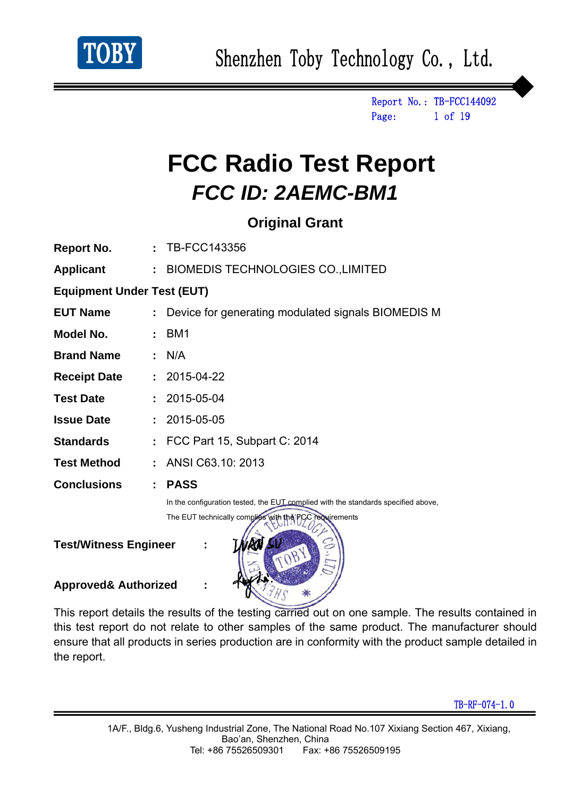

Report No.: TB-FCC144092 Page: 1 of 19

# **FCC Radio Test Report**  *FCC ID: 2AEMC-BM1*

### **Original Grant**

| Report No.                        |                | : TB-FCC143356                                                                    |
|-----------------------------------|----------------|-----------------------------------------------------------------------------------|
| <b>Applicant</b>                  |                | : BIOMEDIS TECHNOLOGIES CO., LIMITED                                              |
| <b>Equipment Under Test (EUT)</b> |                |                                                                                   |
| <b>EUT Name</b>                   |                | Device for generating modulated signals BIOMEDIS M                                |
| Model No.                         |                | BM <sub>1</sub>                                                                   |
| <b>Brand Name</b>                 |                | : N/A                                                                             |
| <b>Receipt Date : 2015-04-22</b>  |                |                                                                                   |
| <b>Test Date</b>                  |                | $: 2015 - 05 - 04$                                                                |
| <b>Issue Date</b>                 |                | $: 2015 - 05 - 05$                                                                |
| <b>Standards</b>                  |                | : FCC Part 15, Subpart C: 2014                                                    |
| <b>Test Method</b>                |                | $:$ ANSI C63.10: 2013                                                             |
| <b>Conclusions</b>                | $\mathbb{R}^n$ | <b>PASS</b>                                                                       |
|                                   |                | In the configuration tested, the EUT complied with the standards specified above, |
|                                   |                | The EUT technically complies with the FCC requirements                            |
| <b>Test/Witness Engineer</b>      |                |                                                                                   |

**Approved& Authorized :** 

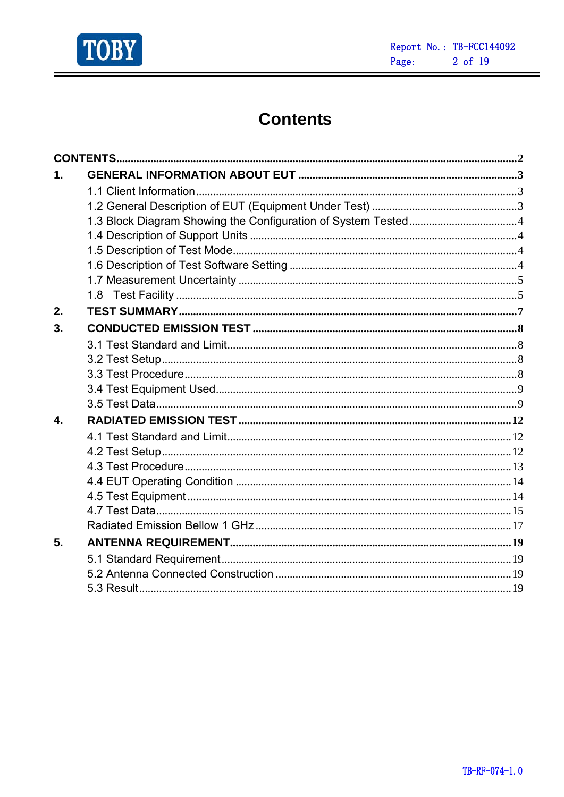

Ė

# **Contents**

| $\mathbf 1$ . |  |
|---------------|--|
|               |  |
|               |  |
|               |  |
|               |  |
|               |  |
|               |  |
|               |  |
|               |  |
| 2.            |  |
| 3.            |  |
|               |  |
|               |  |
|               |  |
|               |  |
|               |  |
| 4.            |  |
|               |  |
|               |  |
|               |  |
|               |  |
|               |  |
|               |  |
|               |  |
| 5.            |  |
|               |  |
|               |  |
|               |  |
|               |  |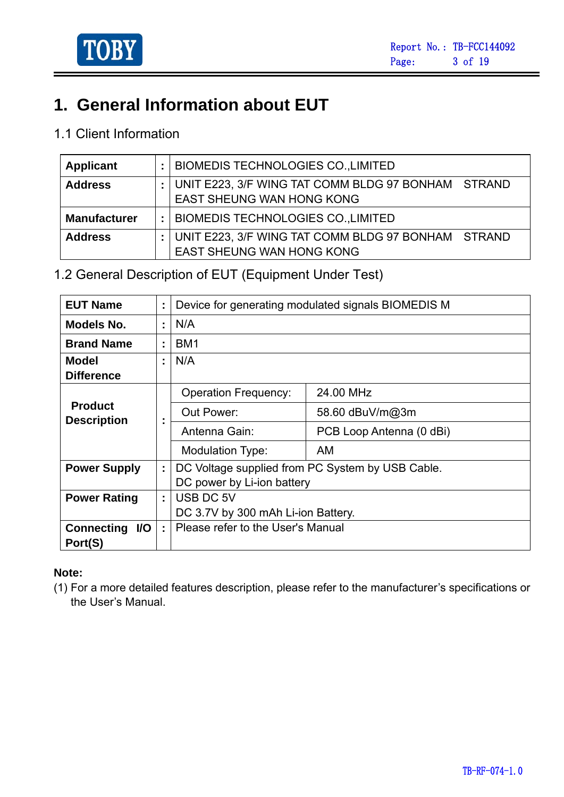

# **1. General Information about EUT**

### 1.1 Client Information

| Applicant           | ÷ | BIOMEDIS TECHNOLOGIES CO.,LIMITED                                                      |  |
|---------------------|---|----------------------------------------------------------------------------------------|--|
| <b>Address</b>      |   | UNIT E223, 3/F WING TAT COMM BLDG 97 BONHAM STRAND<br><b>EAST SHEUNG WAN HONG KONG</b> |  |
| <b>Manufacturer</b> | ÷ | <b>BIOMEDIS TECHNOLOGIES CO., LIMITED</b>                                              |  |
| <b>Address</b>      |   | UNIT E223, 3/F WING TAT COMM BLDG 97 BONHAM STRAND<br><b>EAST SHEUNG WAN HONG KONG</b> |  |

1.2 General Description of EUT (Equipment Under Test)

| <b>EUT Name</b>                   | t |                                    | Device for generating modulated signals BIOMEDIS M |  |  |
|-----------------------------------|---|------------------------------------|----------------------------------------------------|--|--|
| Models No.                        | t | N/A                                |                                                    |  |  |
| <b>Brand Name</b>                 | ÷ | BM <sub>1</sub>                    |                                                    |  |  |
| <b>Model</b><br><b>Difference</b> | t | N/A                                |                                                    |  |  |
|                                   |   | <b>Operation Frequency:</b>        | 24.00 MHz                                          |  |  |
| <b>Product</b>                    |   | Out Power:                         | 58.60 dBuV/m@3m                                    |  |  |
| <b>Description</b>                |   | Antenna Gain:                      | PCB Loop Antenna (0 dBi)                           |  |  |
|                                   |   | <b>Modulation Type:</b>            | AM                                                 |  |  |
| <b>Power Supply</b>               | t |                                    | DC Voltage supplied from PC System by USB Cable.   |  |  |
|                                   |   | DC power by Li-ion battery         |                                                    |  |  |
| <b>Power Rating</b>               | ÷ | USB DC 5V                          |                                                    |  |  |
|                                   |   | DC 3.7V by 300 mAh Li-ion Battery. |                                                    |  |  |
| <b>Connecting</b><br>I/O          | ÷ | Please refer to the User's Manual  |                                                    |  |  |
| Port(S)                           |   |                                    |                                                    |  |  |

#### **Note:**

(1) For a more detailed features description, please refer to the manufacturer's specifications or the User's Manual.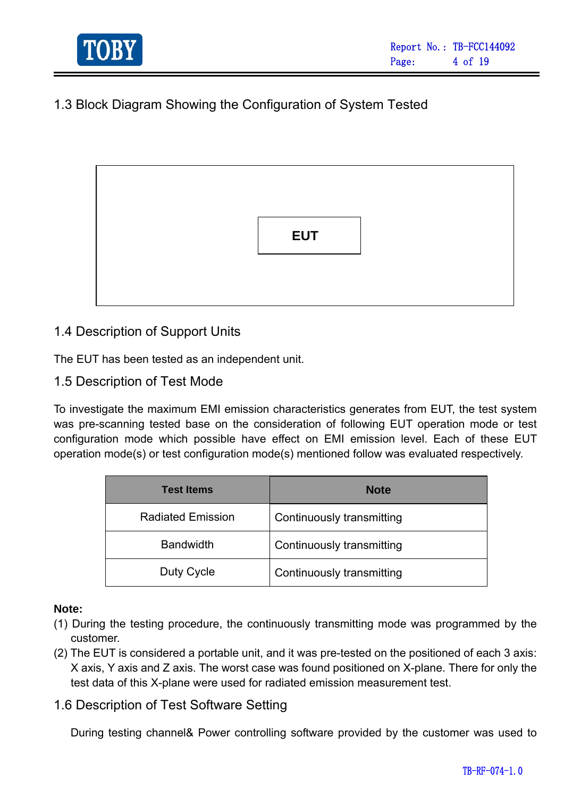

### 1.3 Block Diagram Showing the Configuration of System Tested



#### 1.4 Description of Support Units

The EUT has been tested as an independent unit.

1.5 Description of Test Mode

To investigate the maximum EMI emission characteristics generates from EUT, the test system was pre-scanning tested base on the consideration of following EUT operation mode or test configuration mode which possible have effect on EMI emission level. Each of these EUT operation mode(s) or test configuration mode(s) mentioned follow was evaluated respectively.

| <b>Test Items</b>        | <b>Note</b>               |
|--------------------------|---------------------------|
| <b>Radiated Emission</b> | Continuously transmitting |
| <b>Bandwidth</b>         | Continuously transmitting |
| Duty Cycle               | Continuously transmitting |

#### **Note:**

- (1) During the testing procedure, the continuously transmitting mode was programmed by the customer.
- (2) The EUT is considered a portable unit, and it was pre-tested on the positioned of each 3 axis: X axis, Y axis and Z axis. The worst case was found positioned on X-plane. There for only the test data of this X-plane were used for radiated emission measurement test.

#### 1.6 Description of Test Software Setting

During testing channel& Power controlling software provided by the customer was used to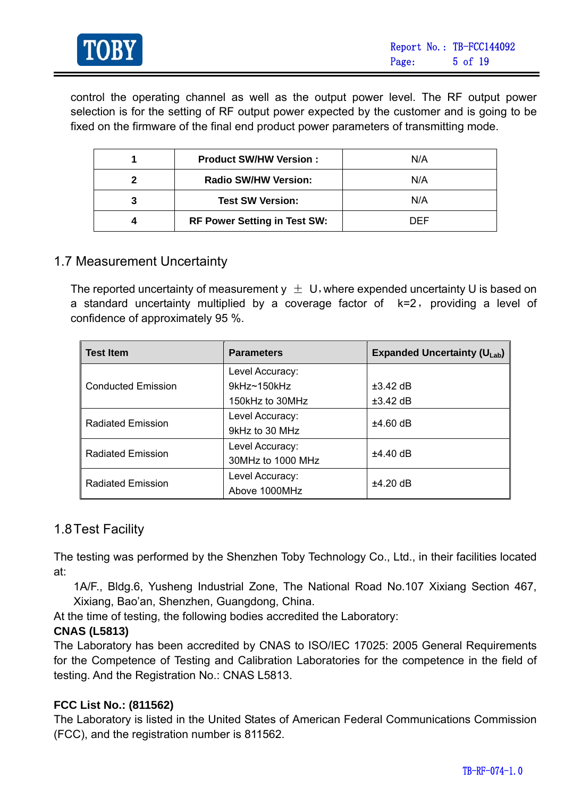

control the operating channel as well as the output power level. The RF output power selection is for the setting of RF output power expected by the customer and is going to be fixed on the firmware of the final end product power parameters of transmitting mode.

| <b>Product SW/HW Version:</b>       | N/A |
|-------------------------------------|-----|
| <b>Radio SW/HW Version:</b>         | N/A |
| <b>Test SW Version:</b>             | N/A |
| <b>RF Power Setting in Test SW:</b> | DEE |

#### 1.7 Measurement Uncertainty

The reported uncertainty of measurement  $y \pm U$ , where expended uncertainty U is based on a standard uncertainty multiplied by a coverage factor of  $k=2$ , providing a level of confidence of approximately 95 %.

| <b>Test Item</b>          | <b>Parameters</b>  | <b>Expanded Uncertainty (ULab)</b> |  |
|---------------------------|--------------------|------------------------------------|--|
|                           | Level Accuracy:    |                                    |  |
| <b>Conducted Emission</b> | $9kHz \sim 150kHz$ | $\pm 3.42$ dB                      |  |
|                           | 150kHz to 30MHz    | $\pm 3.42$ dB                      |  |
| <b>Radiated Emission</b>  | Level Accuracy:    | $±4.60$ dB                         |  |
|                           | 9kHz to 30 MHz     |                                    |  |
| <b>Radiated Emission</b>  | Level Accuracy:    | $±4.40$ dB                         |  |
|                           | 30MHz to 1000 MHz  |                                    |  |
| <b>Radiated Emission</b>  | Level Accuracy:    | $±4.20$ dB                         |  |
|                           | Above 1000MHz      |                                    |  |

#### 1.8 Test Facility

The testing was performed by the Shenzhen Toby Technology Co., Ltd., in their facilities located at:

1A/F., Bldg.6, Yusheng Industrial Zone, The National Road No.107 Xixiang Section 467, Xixiang, Bao'an, Shenzhen, Guangdong, China.

At the time of testing, the following bodies accredited the Laboratory:

#### **CNAS (L5813)**

The Laboratory has been accredited by CNAS to ISO/IEC 17025: 2005 General Requirements for the Competence of Testing and Calibration Laboratories for the competence in the field of testing. And the Registration No.: CNAS L5813.

#### **FCC List No.: (811562)**

The Laboratory is listed in the United States of American Federal Communications Commission (FCC), and the registration number is 811562.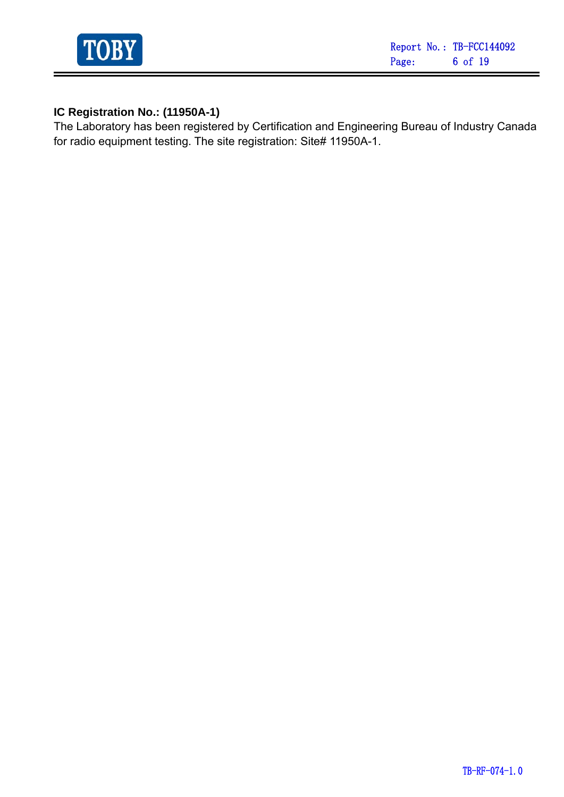

#### **IC Registration No.: (11950A-1)**

The Laboratory has been registered by Certification and Engineering Bureau of Industry Canada for radio equipment testing. The site registration: Site# 11950A-1.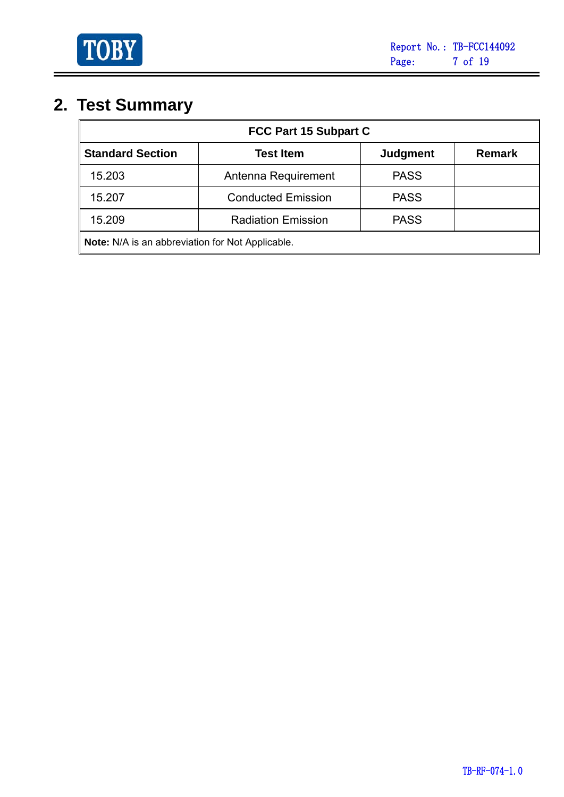

Ė

# **2. Test Summary**

| FCC Part 15 Subpart C                              |                           |                 |               |  |  |  |
|----------------------------------------------------|---------------------------|-----------------|---------------|--|--|--|
| <b>Standard Section</b>                            | <b>Test Item</b>          | <b>Judgment</b> | <b>Remark</b> |  |  |  |
| 15.203                                             | Antenna Requirement       | <b>PASS</b>     |               |  |  |  |
| 15.207                                             | <b>Conducted Emission</b> | <b>PASS</b>     |               |  |  |  |
| <b>PASS</b><br>15.209<br><b>Radiation Emission</b> |                           |                 |               |  |  |  |
| Note: N/A is an abbreviation for Not Applicable.   |                           |                 |               |  |  |  |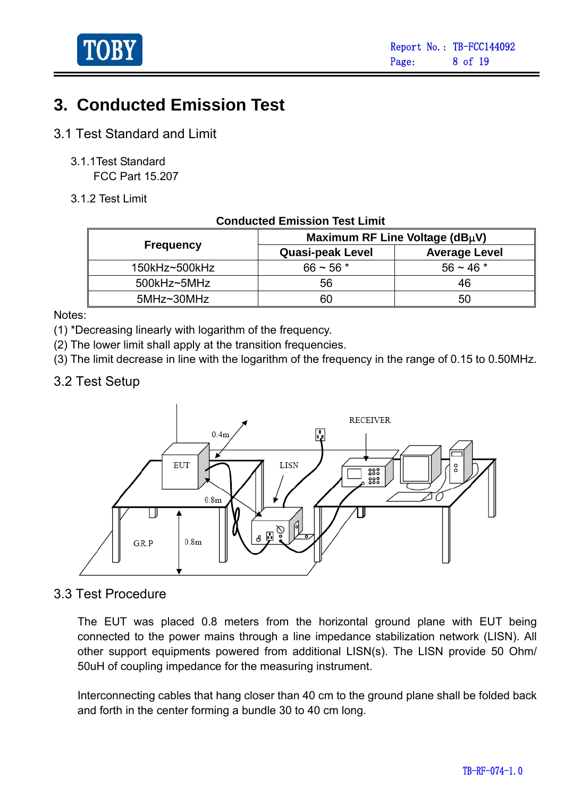

# **3. Conducted Emission Test**

- 3.1 Test Standard and Limit
	- 3.1.1Test Standard FCC Part 15.207
	- 3.1.2 Test Limit

| CONQUEG ENNSSION TEST LINIII |                                |                      |  |  |  |  |
|------------------------------|--------------------------------|----------------------|--|--|--|--|
|                              | Maximum RF Line Voltage (dBµV) |                      |  |  |  |  |
| <b>Frequency</b>             | <b>Quasi-peak Level</b>        | <b>Average Level</b> |  |  |  |  |
| 150kHz~500kHz                | $66 \sim 56$ *                 | $56 \sim 46$ *       |  |  |  |  |
| 500kHz~5MHz                  | 56                             | 46                   |  |  |  |  |
| 5MHz~30MHz                   | 60                             | 50                   |  |  |  |  |

 **Conducted Emission Test Limit** 

Notes:

- (1) \*Decreasing linearly with logarithm of the frequency.
- (2) The lower limit shall apply at the transition frequencies.
- (3) The limit decrease in line with the logarithm of the frequency in the range of 0.15 to 0.50MHz.

#### 3.2 Test Setup



#### 3.3 Test Procedure

The EUT was placed 0.8 meters from the horizontal ground plane with EUT being connected to the power mains through a line impedance stabilization network (LISN). All other support equipments powered from additional LISN(s). The LISN provide 50 Ohm/ 50uH of coupling impedance for the measuring instrument.

Interconnecting cables that hang closer than 40 cm to the ground plane shall be folded back and forth in the center forming a bundle 30 to 40 cm long.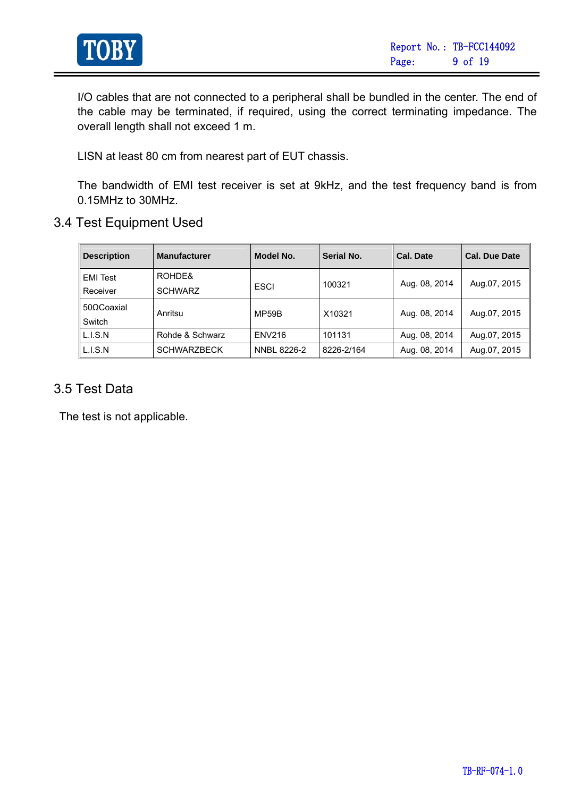

I/O cables that are not connected to a peripheral shall be bundled in the center. The end of the cable may be terminated, if required, using the correct terminating impedance. The overall length shall not exceed 1 m.

LISN at least 80 cm from nearest part of EUT chassis.

The bandwidth of EMI test receiver is set at 9kHz, and the test frequency band is from 0.15MHz to 30MHz.

3.4 Test Equipment Used

| <b>Description</b> | <b>Manufacturer</b> | Model No.     | Serial No. | Cal. Date     | <b>Cal. Due Date</b> |
|--------------------|---------------------|---------------|------------|---------------|----------------------|
| <b>EMI</b> Test    | ROHDE&              |               | 100321     | Aug. 08, 2014 | Aug.07, 2015         |
| Receiver           | <b>SCHWARZ</b>      | <b>ESCI</b>   |            |               |                      |
| 500Coaxial         | Anritsu             | MP59B         | X10321     | Aug. 08, 2014 | Aug.07, 2015         |
| Switch             |                     |               |            |               |                      |
| L.I.S.N            | Rohde & Schwarz     | <b>ENV216</b> | 101131     | Aug. 08, 2014 | Aug.07, 2015         |
| L.I.S.N            | <b>SCHWARZBECK</b>  | NNBL 8226-2   | 8226-2/164 | Aug. 08, 2014 | Aug.07, 2015         |

#### 3.5 Test Data

The test is not applicable.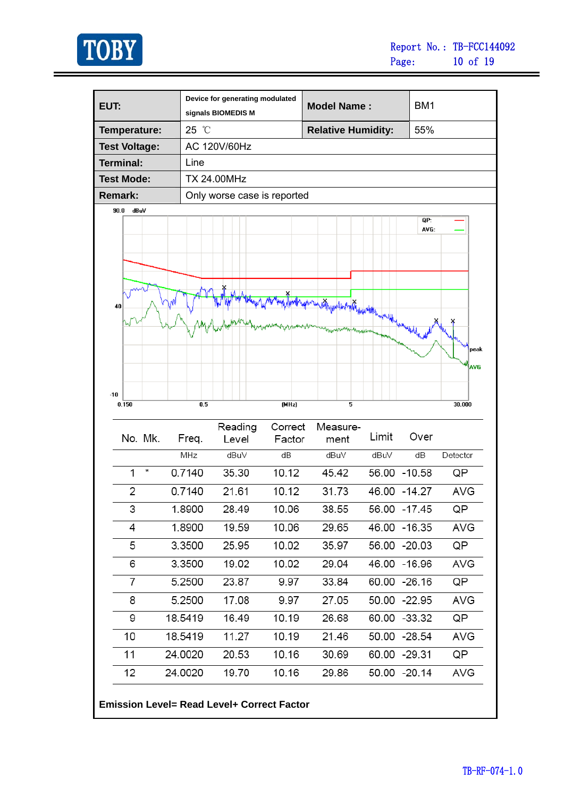

Ė,

| EUT:                 |   |         | Device for generating modulated<br>signals BIOMEDIS M |         | <b>Model Name:</b>                     |       | BM1           |            |
|----------------------|---|---------|-------------------------------------------------------|---------|----------------------------------------|-------|---------------|------------|
| Temperature:         |   | 25 °C   |                                                       |         | <b>Relative Humidity:</b>              |       | 55%           |            |
| <b>Test Voltage:</b> |   |         | AC 120V/60Hz                                          |         |                                        |       |               |            |
| <b>Terminal:</b>     |   | Line    |                                                       |         |                                        |       |               |            |
| <b>Test Mode:</b>    |   |         | <b>TX 24.00MHz</b>                                    |         |                                        |       |               |            |
| <b>Remark:</b>       |   |         | Only worse case is reported                           |         |                                        |       |               |            |
| 90.0<br>dBuV         |   |         |                                                       |         |                                        |       |               |            |
|                      |   |         |                                                       |         |                                        |       | QP:<br>AVG:   |            |
|                      |   |         |                                                       |         |                                        |       |               |            |
|                      |   |         |                                                       |         |                                        |       |               |            |
|                      |   |         |                                                       |         |                                        |       |               |            |
|                      |   |         |                                                       |         |                                        |       |               |            |
| 40                   |   |         |                                                       |         | <b>well-Amplitude to the formation</b> | www   |               |            |
|                      |   |         |                                                       |         |                                        |       |               |            |
|                      |   |         |                                                       |         |                                        |       |               | peak       |
|                      |   |         |                                                       |         |                                        |       |               |            |
|                      |   |         |                                                       |         |                                        |       |               | <b>AVG</b> |
| $-10$                |   |         |                                                       |         |                                        |       |               |            |
| 0.150                |   | 0.5     |                                                       | (MHz)   | 5                                      |       |               | 30.000     |
|                      |   |         | Reading                                               | Correct | Measure-                               |       |               |            |
| No. Mk.              |   | Freq.   | Level                                                 | Factor  | ment                                   | Limit | Over          |            |
|                      |   | MHz     | dBu∨                                                  | dB      | dBuV                                   | dBuV  | dB            | Detector   |
| 1                    | ∗ | 0.7140  | 35.30                                                 | 10.12   | 45.42                                  |       | 56.00 -10.58  | QP         |
| 2                    |   | 0.7140  | 21.61                                                 | 10.12   | 31.73                                  |       | 46.00 - 14.27 | <b>AVG</b> |
| 3                    |   | 1.8900  | 28.49                                                 | 10.06   | 38.55                                  |       | 56.00 -17.45  | QP         |
| 4                    |   | 1.8900  | 19.59                                                 | 10.06   | 29.65                                  |       | 46.00 -16.35  | AVG        |
| 5                    |   | 3.3500  | 25.95                                                 | 10.02   | 35.97                                  |       | 56.00 -20.03  | QP         |
| 6                    |   | 3.3500  | 19.02                                                 | 10.02   | 29.04                                  |       | 46.00 -16.96  | AVG        |
| 7                    |   | 5.2500  | 23.87                                                 | 9.97    | 33.84                                  |       | 60.00 -26.16  | QP         |
| 8                    |   | 5.2500  | 17.08                                                 | 9.97    | 27.05                                  |       | 50.00 -22.95  | AVG        |
| 9                    |   | 18.5419 | 16.49                                                 | 10.19   | 26.68                                  |       | 60.00 -33.32  | QP         |
| 10                   |   | 18.5419 | 11.27                                                 | 10.19   | 21.46                                  |       | 50.00 -28.54  | AVG        |
| 11                   |   | 24.0020 | 20.53                                                 | 10.16   | 30.69                                  |       | 60.00 -29.31  | QP         |
|                      |   | 24.0020 | 19.70                                                 | 10.16   | 29.86                                  |       | 50.00 -20.14  | AVG        |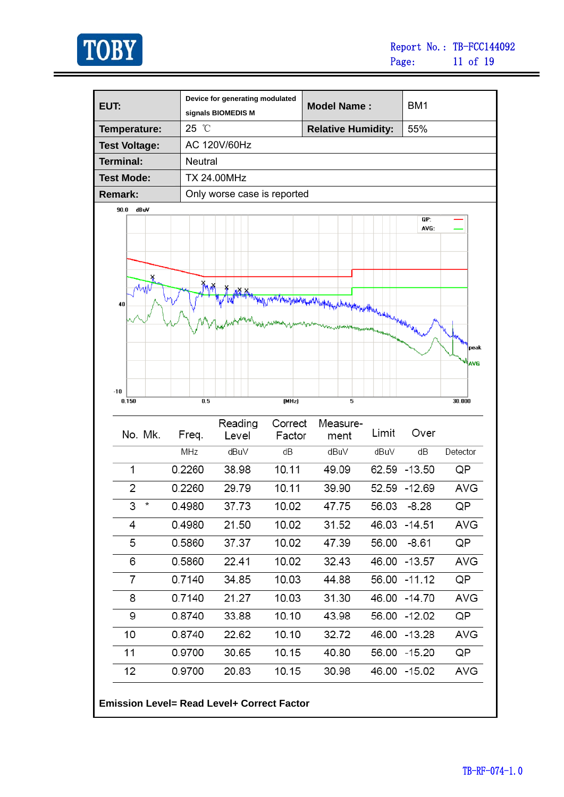

Ė,

| EUT:                 |                | Device for generating modulated<br>signals BIOMEDIS M |                   | <b>Model Name:</b>        |                          | BM <sub>1</sub> |            |
|----------------------|----------------|-------------------------------------------------------|-------------------|---------------------------|--------------------------|-----------------|------------|
| Temperature:         | 25 °C          |                                                       |                   | <b>Relative Humidity:</b> |                          | 55%             |            |
| <b>Test Voltage:</b> |                | AC 120V/60Hz                                          |                   |                           |                          |                 |            |
| <b>Terminal:</b>     | <b>Neutral</b> |                                                       |                   |                           |                          |                 |            |
| <b>Test Mode:</b>    |                | <b>TX 24.00MHz</b>                                    |                   |                           |                          |                 |            |
| <b>Remark:</b>       |                | Only worse case is reported                           |                   |                           |                          |                 |            |
| dBuV<br>90.0         |                |                                                       |                   |                           |                          | QP:             |            |
|                      |                |                                                       |                   |                           |                          | AVG:            |            |
|                      |                |                                                       |                   |                           |                          |                 |            |
|                      |                |                                                       |                   |                           |                          |                 |            |
| ¥                    |                |                                                       |                   |                           |                          |                 |            |
|                      |                |                                                       |                   |                           |                          |                 |            |
| 40                   |                |                                                       |                   |                           | htapterpapelfinalyzidate |                 |            |
|                      |                | luw                                                   |                   |                           |                          |                 |            |
|                      |                |                                                       |                   |                           |                          |                 | peak       |
|                      |                |                                                       |                   |                           |                          |                 | AVG        |
|                      |                |                                                       |                   |                           |                          |                 |            |
| -10<br>0.150         | 0.5            |                                                       | (MHz)             | 5                         |                          |                 | 30.000     |
|                      |                |                                                       |                   |                           |                          |                 |            |
| No. Mk.              | Freq.          | Reading<br>Level                                      | Correct<br>Factor | Measure-<br>ment          | Limit                    | Over            |            |
|                      | MHz            | dBuV                                                  | dB                | dBuV                      | dBuV                     | dB              | Detector   |
| 1                    | 0.2260         | 38.98                                                 | 10.11             | 49.09                     |                          | 62.59 -13.50    | QP         |
|                      |                |                                                       |                   |                           |                          |                 |            |
| 2                    | 0.2260         | 29.79                                                 | 10.11             | 39.90                     | 52.59                    | $-12.69$        | <b>AVG</b> |
| 3<br>*               | 0.4980         | 37.73                                                 | 10.02             | 47.75                     | 56.03                    | $-8.28$         | QP         |
| 4                    | 0.4980         | 21.50                                                 | 10.02             | 31.52                     |                          | 46.03 -14.51    | AVG        |
| 5                    | 0.5860         | 37.37                                                 | 10.02             | 47.39                     | 56.00                    | $-8.61$         | QP         |
| 6                    | 0.5860         | 22.41                                                 | 10.02             | 32.43                     |                          | 46.00 -13.57    | AVG        |
| 7                    | 0.7140         | 34.85                                                 | 10.03             | 44.88                     |                          | 56.00 -11.12    | QP         |
| 8                    | 0.7140         | 21.27                                                 | 10.03             | 31.30                     |                          | 46.00 -14.70    | AVG        |
| 9                    | 0.8740         | 33.88                                                 | 10.10             | 43.98                     | 56.00                    | $-12.02$        | QP         |
| 10                   | 0.8740         | 22.62                                                 | 10.10             | 32.72                     |                          | 46.00 -13.28    | AVG        |
|                      | 0.9700         | 30.65                                                 | 10.15             | 40.80                     |                          | 56.00 -15.20    | QP         |
|                      |                |                                                       |                   |                           |                          |                 |            |
| 11<br>12             | 0.9700         | 20.83                                                 | 10.15             | 30.98                     |                          | 46.00 -15.02    | AVG        |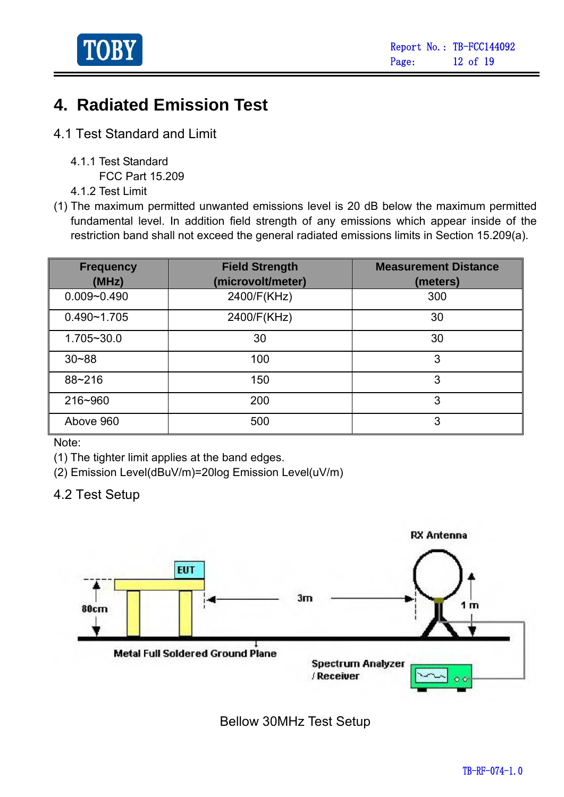

# **4. Radiated Emission Test**

- 4.1 Test Standard and Limit
	- 4.1.1 Test Standard

FCC Part 15.209

4.1.2 Test Limit

(1) The maximum permitted unwanted emissions level is 20 dB below the maximum permitted fundamental level. In addition field strength of any emissions which appear inside of the restriction band shall not exceed the general radiated emissions limits in Section 15.209(a).

| <b>Frequency</b><br>(MHz) | <b>Field Strength</b><br>(microvolt/meter) | <b>Measurement Distance</b><br>(meters) |
|---------------------------|--------------------------------------------|-----------------------------------------|
| $0.009 - 0.490$           | 2400/F(KHz)                                | 300                                     |
| $0.490 - 1.705$           | 2400/F(KHz)                                | 30                                      |
| 1.705~30.0                | 30                                         | 30                                      |
| $30 - 88$                 | 100                                        | 3                                       |
| 88~216                    | 150                                        | 3                                       |
| 216~960                   | 200                                        | 3                                       |
| Above 960                 | 500                                        | 3                                       |

Note:

(1) The tighter limit applies at the band edges.

(2) Emission Level(dBuV/m)=20log Emission Level(uV/m)

### 4.2 Test Setup



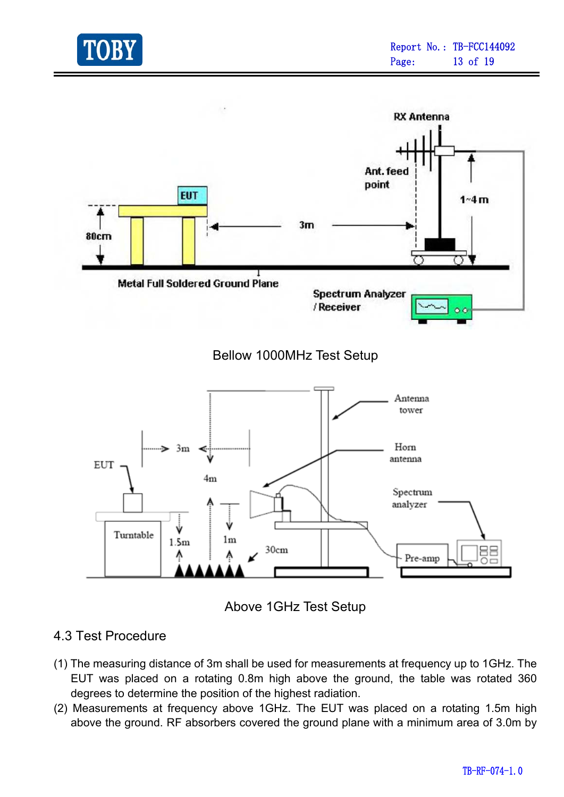





#### 4.3 Test Procedure

- (1) The measuring distance of 3m shall be used for measurements at frequency up to 1GHz. The EUT was placed on a rotating 0.8m high above the ground, the table was rotated 360 degrees to determine the position of the highest radiation.
- (2) Measurements at frequency above 1GHz. The EUT was placed on a rotating 1.5m high above the ground. RF absorbers covered the ground plane with a minimum area of 3.0m by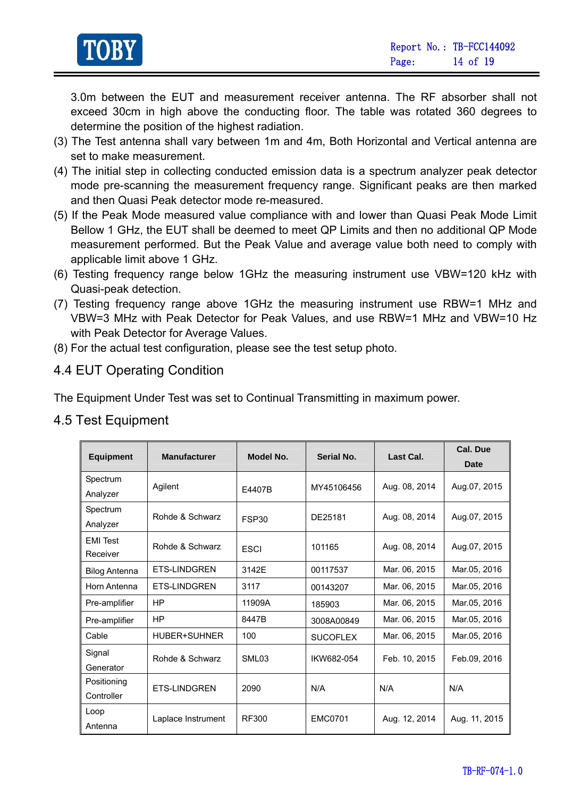

3.0m between the EUT and measurement receiver antenna. The RF absorber shall not exceed 30cm in high above the conducting floor. The table was rotated 360 degrees to determine the position of the highest radiation.

- (3) The Test antenna shall vary between 1m and 4m, Both Horizontal and Vertical antenna are set to make measurement.
- (4) The initial step in collecting conducted emission data is a spectrum analyzer peak detector mode pre-scanning the measurement frequency range. Significant peaks are then marked and then Quasi Peak detector mode re-measured.
- (5) If the Peak Mode measured value compliance with and lower than Quasi Peak Mode Limit Bellow 1 GHz, the EUT shall be deemed to meet QP Limits and then no additional QP Mode measurement performed. But the Peak Value and average value both need to comply with applicable limit above 1 GHz.
- (6) Testing frequency range below 1GHz the measuring instrument use VBW=120 kHz with Quasi-peak detection.
- (7) Testing frequency range above 1GHz the measuring instrument use RBW=1 MHz and VBW=3 MHz with Peak Detector for Peak Values, and use RBW=1 MHz and VBW=10 Hz with Peak Detector for Average Values.
- (8) For the actual test configuration, please see the test setup photo.

#### 4.4 EUT Operating Condition

The Equipment Under Test was set to Continual Transmitting in maximum power.

#### 4.5 Test Equipment

| <b>Equipment</b>     | <b>Manufacturer</b> | Model No.         | Serial No.      | Last Cal.     | Cal. Due<br>Date |
|----------------------|---------------------|-------------------|-----------------|---------------|------------------|
| Spectrum             | Agilent             |                   | MY45106456      | Aug. 08, 2014 | Aug.07, 2015     |
| Analyzer             |                     | F4407B            |                 |               |                  |
| Spectrum             | Rohde & Schwarz     |                   | DE25181         | Aug. 08, 2014 | Aug.07, 2015     |
| Analyzer             |                     | FSP30             |                 |               |                  |
| <b>EMI</b> Test      | Rohde & Schwarz     |                   | 101165          | Aug. 08, 2014 | Aug.07, 2015     |
| Receiver             |                     | <b>ESCI</b>       |                 |               |                  |
| <b>Bilog Antenna</b> | <b>ETS-LINDGREN</b> | 3142E             | 00117537        | Mar. 06, 2015 | Mar.05, 2016     |
| Horn Antenna         | <b>ETS-LINDGREN</b> | 3117              | 00143207        | Mar. 06, 2015 | Mar.05, 2016     |
| Pre-amplifier        | <b>HP</b>           | 11909A            | 185903          | Mar. 06, 2015 | Mar.05, 2016     |
| Pre-amplifier        | HP                  | 8447B             | 3008A00849      | Mar. 06, 2015 | Mar.05, 2016     |
| Cable                | HUBER+SUHNER        | 100               | <b>SUCOFLEX</b> | Mar. 06, 2015 | Mar.05, 2016     |
| Signal               | Rohde & Schwarz     | SML <sub>03</sub> | IKW682-054      | Feb. 10, 2015 | Feb.09, 2016     |
| Generator            |                     |                   |                 |               |                  |
| Positioning          | <b>ETS-LINDGREN</b> | 2090              | N/A             | N/A           | N/A              |
| Controller           |                     |                   |                 |               |                  |
| Loop                 | Laplace Instrument  | <b>RF300</b>      | <b>EMC0701</b>  | Aug. 12, 2014 | Aug. 11, 2015    |
| Antenna              |                     |                   |                 |               |                  |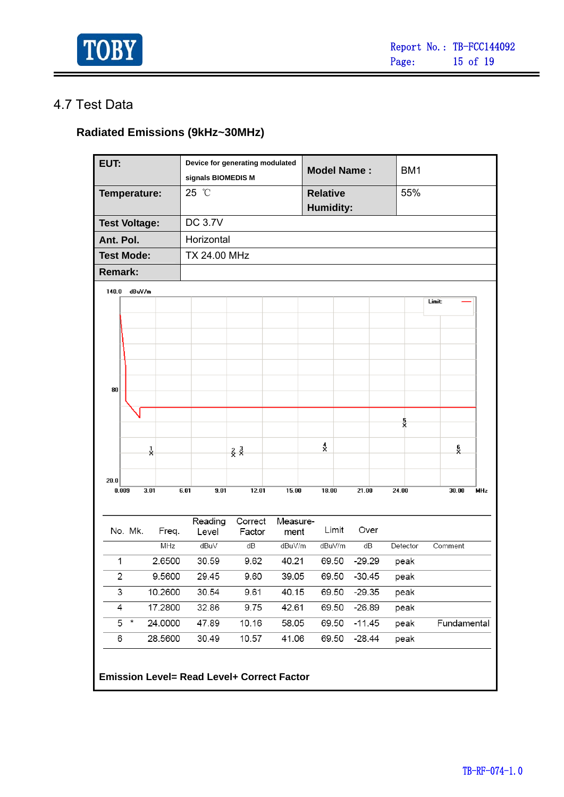

### 4.7 Test Data

### **Radiated Emissions (9kHz~30MHz)**

| EUT:                    |                   |      |         | Device for generating modulated<br>signals BIOMEDIS M |                  |                   |       |                                                   |                              |       | <b>Model Name:</b> |      |          | BM1 |        |             |     |
|-------------------------|-------------------|------|---------|-------------------------------------------------------|------------------|-------------------|-------|---------------------------------------------------|------------------------------|-------|--------------------|------|----------|-----|--------|-------------|-----|
|                         | Temperature:      |      |         | 25 °C                                                 |                  |                   |       |                                                   | <b>Relative</b><br>Humidity: |       |                    |      | 55%      |     |        |             |     |
| <b>Test Voltage:</b>    |                   |      |         |                                                       | <b>DC 3.7V</b>   |                   |       |                                                   |                              |       |                    |      |          |     |        |             |     |
| Ant. Pol.               |                   |      |         |                                                       | Horizontal       |                   |       |                                                   |                              |       |                    |      |          |     |        |             |     |
|                         | <b>Test Mode:</b> |      |         |                                                       | TX 24.00 MHz     |                   |       |                                                   |                              |       |                    |      |          |     |        |             |     |
| <b>Remark:</b>          |                   |      |         |                                                       |                  |                   |       |                                                   |                              |       |                    |      |          |     |        |             |     |
| 140.0                   | dBuV/m            |      |         |                                                       |                  |                   |       |                                                   |                              |       |                    |      |          |     |        |             |     |
|                         |                   |      |         |                                                       |                  |                   |       |                                                   |                              |       |                    |      |          |     | Limit: |             |     |
|                         |                   |      |         |                                                       |                  |                   |       |                                                   |                              |       |                    |      |          |     |        |             |     |
|                         |                   |      |         |                                                       |                  |                   |       |                                                   |                              |       |                    |      |          |     |        |             |     |
|                         |                   |      |         |                                                       |                  |                   |       |                                                   |                              |       |                    |      |          |     |        |             |     |
|                         |                   |      |         |                                                       |                  |                   |       |                                                   |                              |       |                    |      |          |     |        |             |     |
|                         |                   |      |         |                                                       |                  |                   |       |                                                   |                              |       |                    |      |          |     |        |             |     |
| 80                      |                   |      |         |                                                       |                  |                   |       |                                                   |                              |       |                    |      |          |     |        |             |     |
|                         |                   |      |         |                                                       |                  |                   |       |                                                   |                              |       |                    |      |          |     |        |             |     |
|                         |                   |      |         |                                                       |                  |                   |       |                                                   |                              |       |                    |      | ş        |     |        |             |     |
|                         |                   |      |         |                                                       |                  |                   |       |                                                   | $\frac{4}{2}$                |       |                    |      |          |     |        |             |     |
|                         |                   | ř    |         |                                                       |                  | $rac{2}{x}$       |       |                                                   |                              |       |                    |      |          |     |        | ę<br>X      |     |
| 20.0                    |                   |      |         |                                                       |                  |                   |       |                                                   |                              |       |                    |      |          |     |        |             |     |
|                         | 0.009             | 3.01 |         | 6.01                                                  | 9.01             |                   | 12.01 | 15.00                                             | 18.00                        |       | 21.00              |      | 24.00    |     |        | 30.00       | MHz |
|                         |                   |      |         |                                                       |                  |                   |       |                                                   |                              |       |                    |      |          |     |        |             |     |
|                         | No. Mk.           |      | Freq.   |                                                       | Reading<br>Level | Correct<br>Factor |       | Measure-<br>ment                                  |                              | Limit |                    | Over |          |     |        |             |     |
|                         |                   |      | MHz     |                                                       | dBuV             | dB                |       | dBuV/m                                            | dBuV/m                       |       | dB                 |      | Detector |     |        | Comment     |     |
| 1                       |                   |      | 2.6500  |                                                       | 30.59            |                   | 9.62  | 40.21                                             | 69.50                        |       | $-29.29$           |      | peak     |     |        |             |     |
| $\overline{\mathbf{c}}$ |                   |      | 9.5600  |                                                       | 29.45            | 9.60              |       | 39.05                                             |                              |       | 69.50 -30.45       |      | peak     |     |        |             |     |
| 3                       |                   |      | 10.2600 |                                                       | 30.54            | 9.61              |       | 40.15                                             | 69.50                        |       | $-29.35$           |      | peak     |     |        |             |     |
| 4                       |                   |      | 17.2800 |                                                       | 32.86            |                   | 9.75  | 42.61                                             |                              | 69.50 | $-26.89$           |      | peak     |     |        |             |     |
|                         | $\star$<br>5      |      | 24.0000 |                                                       | 47.89            | 10.16             |       | 58.05                                             | 69.50                        |       | $-11.45$           |      | peak     |     |        | Fundamental |     |
| 6                       |                   |      | 28.5600 |                                                       | 30.49            | 10.57             |       | 41.06                                             | 69.50                        |       | $-28.44$           |      | peak     |     |        |             |     |
|                         |                   |      |         |                                                       |                  |                   |       | <b>Emission Level= Read Level+ Correct Factor</b> |                              |       |                    |      |          |     |        |             |     |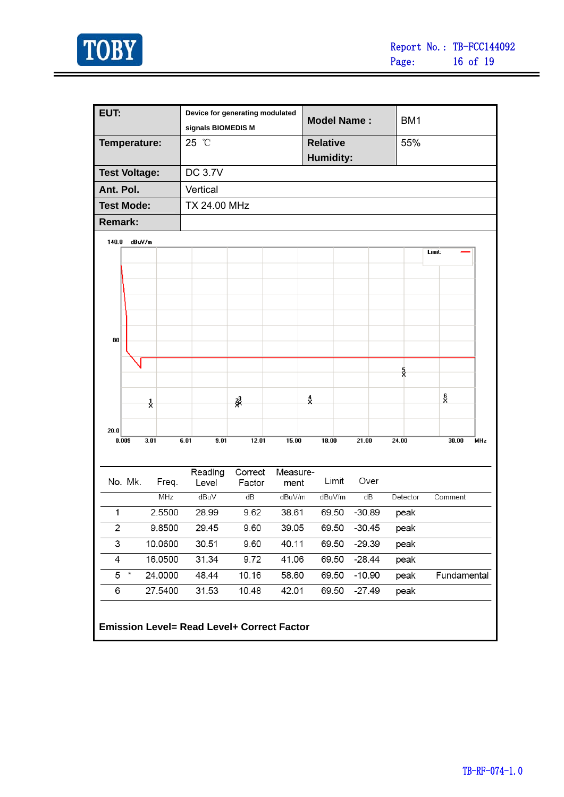

ł,

| EUT:                 |         |               | Device for generating modulated                   |         |          |               |                    |  |          |                 |          |        |             |     |
|----------------------|---------|---------------|---------------------------------------------------|---------|----------|---------------|--------------------|--|----------|-----------------|----------|--------|-------------|-----|
|                      |         |               | signals BIOMEDIS M                                |         |          |               | <b>Model Name:</b> |  |          | BM <sub>1</sub> |          |        |             |     |
| Temperature:         |         |               | 25 °C                                             |         |          |               | <b>Relative</b>    |  |          |                 | 55%      |        |             |     |
|                      |         |               |                                                   |         |          |               | <b>Humidity:</b>   |  |          |                 |          |        |             |     |
| <b>Test Voltage:</b> |         |               | <b>DC 3.7V</b>                                    |         |          |               |                    |  |          |                 |          |        |             |     |
| Ant. Pol.            |         |               | Vertical                                          |         |          |               |                    |  |          |                 |          |        |             |     |
| <b>Test Mode:</b>    |         |               | <b>TX 24.00 MHz</b>                               |         |          |               |                    |  |          |                 |          |        |             |     |
| <b>Remark:</b>       |         |               |                                                   |         |          |               |                    |  |          |                 |          |        |             |     |
| 140.0                | dBuV/m  |               |                                                   |         |          |               |                    |  |          |                 |          |        |             |     |
|                      |         |               |                                                   |         |          |               |                    |  |          |                 |          | Limit: |             |     |
|                      |         |               |                                                   |         |          |               |                    |  |          |                 |          |        |             |     |
|                      |         |               |                                                   |         |          |               |                    |  |          |                 |          |        |             |     |
|                      |         |               |                                                   |         |          |               |                    |  |          |                 |          |        |             |     |
|                      |         |               |                                                   |         |          |               |                    |  |          |                 |          |        |             |     |
|                      |         |               |                                                   |         |          |               |                    |  |          |                 |          |        |             |     |
| 80                   |         |               |                                                   |         |          |               |                    |  |          |                 |          |        |             |     |
|                      |         |               |                                                   |         |          |               |                    |  |          |                 |          |        |             |     |
|                      |         |               |                                                   |         |          |               |                    |  |          |                 | ş        |        |             |     |
|                      |         |               |                                                   |         |          |               |                    |  |          |                 |          |        |             |     |
|                      |         | $\frac{1}{2}$ |                                                   | š,      |          | $\frac{4}{x}$ |                    |  |          |                 |          | ă      |             |     |
|                      |         |               |                                                   |         |          |               |                    |  |          |                 |          |        |             |     |
| 20.0                 | 0.009   | 3.01          | 6.01<br>9.01                                      | 12.01   | 15.00    |               | 18.00              |  | 21.00    |                 | 24.00    |        | 30.00       | MHz |
|                      |         |               |                                                   |         |          |               |                    |  |          |                 |          |        |             |     |
|                      |         |               | Reading                                           | Correct | Measure- |               |                    |  |          |                 |          |        |             |     |
|                      | No. Mk. | Freq.         | Level                                             | Factor  | ment     |               | Limit              |  | Over     |                 |          |        |             |     |
|                      |         | MHz           | dBuV                                              | dB      | dBuV/m   |               | dBuV/m             |  | dB       |                 | Detector |        | Comment     |     |
| 1                    |         | 2.5500        | 28.99                                             | 9.62    | 38.61    |               | 69.50              |  | $-30.89$ |                 | peak     |        |             |     |
| 2                    |         | 9.8500        | 29.45                                             | 9.60    | 39.05    |               | 69.50              |  | $-30.45$ |                 | peak     |        |             |     |
| 3                    |         | 10.0600       | 30.51                                             | 9.60    | 40.11    |               | 69.50              |  | $-29.39$ |                 | peak     |        |             |     |
| 4                    |         | 16.0500       | 31.34                                             | 9.72    | 41.06    |               | 69.50              |  | $-28.44$ |                 | peak     |        |             |     |
| 5                    | $\star$ | 24.0000       | 48.44                                             | 10.16   | 58.60    |               | 69.50              |  | $-10.90$ |                 | peak     |        | Fundamental |     |
| 6                    |         | 27.5400       | 31.53                                             | 10.48   | 42.01    |               | 69.50              |  | $-27.49$ |                 | peak     |        |             |     |
|                      |         |               |                                                   |         |          |               |                    |  |          |                 |          |        |             |     |
|                      |         |               | <b>Emission Level= Read Level+ Correct Factor</b> |         |          |               |                    |  |          |                 |          |        |             |     |
|                      |         |               |                                                   |         |          |               |                    |  |          |                 |          |        |             |     |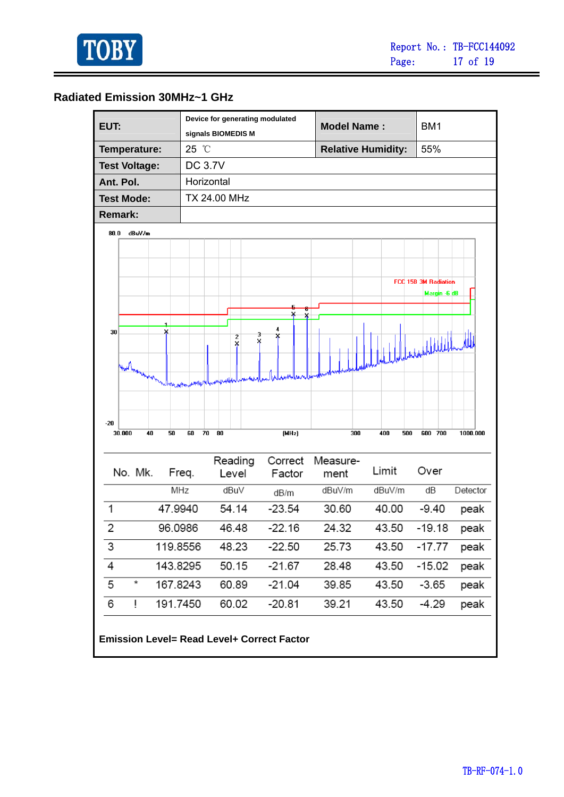

۰

#### **Radiated Emission 30MHz~1 GHz**

| EUT:                                              |                    | Device for generating modulated        |                   | <b>Model Name:</b> |                           | BM <sub>1</sub>      |
|---------------------------------------------------|--------------------|----------------------------------------|-------------------|--------------------|---------------------------|----------------------|
|                                                   | signals BIOMEDIS M |                                        |                   |                    |                           |                      |
| Temperature:                                      | 25 °C              |                                        |                   |                    | <b>Relative Humidity:</b> | 55%                  |
| <b>Test Voltage:</b>                              | <b>DC 3.7V</b>     |                                        |                   |                    |                           |                      |
| Ant. Pol.                                         | Horizontal         |                                        |                   |                    |                           |                      |
| <b>Test Mode:</b>                                 | TX 24.00 MHz       |                                        |                   |                    |                           |                      |
| <b>Remark:</b>                                    |                    |                                        |                   |                    |                           |                      |
| 80.0<br>dBuV/m                                    |                    |                                        |                   |                    |                           |                      |
|                                                   |                    |                                        |                   |                    |                           |                      |
|                                                   |                    |                                        |                   |                    |                           |                      |
|                                                   |                    |                                        |                   |                    |                           | FCC 15B 3M Radiation |
|                                                   |                    |                                        |                   |                    |                           | Margin -6 dB         |
|                                                   |                    |                                        |                   |                    |                           |                      |
| 30<br>×                                           |                    |                                        | 4                 |                    |                           |                      |
|                                                   |                    | 3<br>$\overline{\mathbf{2}}$<br>×<br>× | X                 |                    |                           | Ladaphlille          |
|                                                   |                    |                                        |                   |                    |                           |                      |
| Hart marinary 1                                   |                    |                                        |                   |                    |                           |                      |
|                                                   | nnhuit             |                                        |                   |                    |                           |                      |
|                                                   |                    |                                        |                   |                    |                           |                      |
| $-20$                                             |                    |                                        |                   |                    |                           |                      |
| 30.000<br>40<br>50                                | 70<br>80<br>60     |                                        | (MHz)             | 300                | 400<br>500                | 600 700<br>1000.000  |
|                                                   |                    |                                        |                   |                    |                           |                      |
| No. Mk.                                           | Freq.              | Reading<br>Level                       | Correct<br>Factor | Measure-<br>ment   | Limit                     | Over                 |
|                                                   | MHz                | dBu∨                                   |                   | dBuV/m             | dBuV/m                    | dB<br>Detector       |
|                                                   |                    |                                        | dB/m              |                    |                           |                      |
| 47.9940<br>1                                      |                    | 54.14                                  | $-23.54$          | 30.60              | 40.00                     | $-9.40$<br>peak      |
| $\overline{2}$<br>96.0986                         |                    | 46.48                                  | $-22.16$          | 24.32              | 43.50                     | $-19.18$<br>peak     |
| 3                                                 | 119.8556           | 48.23                                  | $-22.50$          | 25.73              | 43.50                     | $-17.77$<br>peak     |
| 4                                                 | 143.8295           | 50.15                                  | $-21.67$          | 28.48              | 43.50                     | $-15.02$<br>peak     |
| 5<br>×                                            | 167.8243           | 60.89                                  | $-21.04$          | 39.85              | 43.50                     | $-3.65$<br>peak      |
| 6<br>ļ                                            | 191.7450           | 60.02                                  | $-20.81$          | 39.21              | 43.50                     | $-4.29$<br>peak      |
|                                                   |                    |                                        |                   |                    |                           |                      |
| <b>Emission Level= Read Level+ Correct Factor</b> |                    |                                        |                   |                    |                           |                      |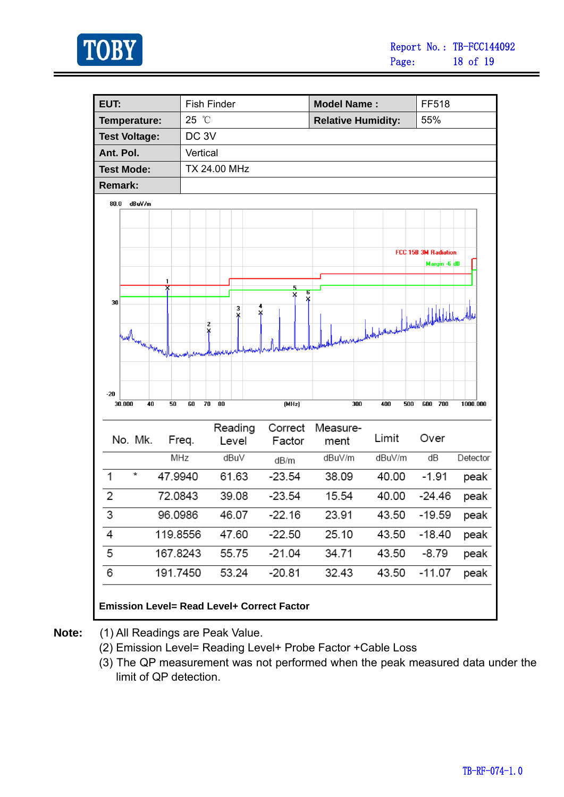

| EUT:                                   | <b>Fish Finder</b>                                |                   | <b>Model Name:</b>        | FF518                                                                                        |
|----------------------------------------|---------------------------------------------------|-------------------|---------------------------|----------------------------------------------------------------------------------------------|
| Temperature:                           | 25 °C                                             |                   | <b>Relative Humidity:</b> | 55%                                                                                          |
| <b>Test Voltage:</b>                   | DC <sub>3V</sub>                                  |                   |                           |                                                                                              |
| Ant. Pol.                              | Vertical                                          |                   |                           |                                                                                              |
| <b>Test Mode:</b>                      | TX 24.00 MHz                                      |                   |                           |                                                                                              |
| <b>Remark:</b>                         |                                                   |                   |                           |                                                                                              |
| 80.0<br>dBuV/m                         |                                                   |                   |                           |                                                                                              |
| 1<br>30<br>(next heavy mayor)<br>$-20$ | 3<br>X<br>¥<br>2                                  | 5<br>Б<br>×<br>×  |                           | FCC 15B 3M Radiation<br>Margin -6 dB<br>which provided to detect the detect of the detection |
| 30.000<br>40<br>50                     | 70<br>80<br>60                                    | (MHz)             | 300<br>400<br>500         | 700<br>600<br>1000.000                                                                       |
| No. Mk.                                | Reading<br>Freq.<br>Level                         | Correct<br>Factor | Measure-<br>Limit<br>ment | Over                                                                                         |
|                                        | MHz<br>dBuV                                       | dB/m              | dBuV/m<br>dBuV/m          | dΒ<br>Detector                                                                               |
| ×                                      | 47.9940<br>61.63                                  | $-23.54$          | 38.09<br>40.00            | $-1.91$<br>peak                                                                              |
| 2                                      | 72.0843<br>39.08                                  | $-23.54$          | 15.54<br>40.00            | $-24.46$<br>peak                                                                             |
| 3                                      | 46.07<br>96.0986                                  | $-22.16$          | 23.91<br>43.50            | $-19.59$<br>peak                                                                             |
| 4                                      | 119.8556<br>47.60                                 | $-22.50$          | 25.10<br>43.50            | $-18.40$<br>peak                                                                             |
| 5                                      | 167.8243<br>55.75                                 | $-21.04$          | 34.71<br>43.50            | $-8.79$<br>peak                                                                              |
| 6                                      | 191.7450<br>53.24                                 | $-20.81$          | 32.43<br>43.50            | $-11.07$<br>peak                                                                             |
|                                        | <b>Emission Level= Read Level+ Correct Factor</b> |                   |                           |                                                                                              |

**Note:** (1) All Readings are Peak Value.

- (2) Emission Level= Reading Level+ Probe Factor +Cable Loss
- (3) The QP measurement was not performed when the peak measured data under the limit of QP detection.